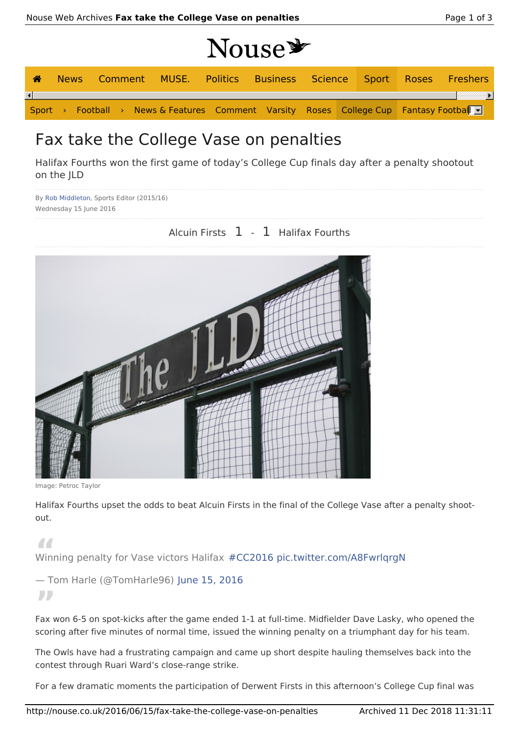# Nouse<sup>y</sup>

| ☎                      |  |  |  |  |                                                                                         |  |  | News Comment MUSE. Politics Business Science Sport Roses Freshers |
|------------------------|--|--|--|--|-----------------------------------------------------------------------------------------|--|--|-------------------------------------------------------------------|
| $\left  \cdot \right $ |  |  |  |  |                                                                                         |  |  |                                                                   |
|                        |  |  |  |  | Sport > Football > News & Features Comment Varsity Roses College Cup Fantasy Football - |  |  |                                                                   |

### Fax take the College Vase on penalties

Halifax Fourths won the first game of today's College Cup finals day after a penalty shootout on the JLD

By Rob Middleton, Sports Editor (2015/16) Wednesday 15 June 2016

### Alcuin Firsts 1 - 1 Halifax Fourths



Image: Petroc Taylor

Halifax Fourths upset the odds to beat Alcuin Firsts in the final of the College Vase after a penalty shootout.

**"** Winning penalty for Vase victors Halifax #CC2016 pic.twitter.com/A8FwrlqrgN

## — Tom Harle (@TomHarle96) June 15, 2016

**"** Fax won 6-5 on spot-kicks after the game ended 1-1 at full-time. Midfielder Dave Lasky, who opened the scoring after five minutes of normal time, issued the winning penalty on a triumphant day for his team.

The Owls have had a frustrating campaign and came up short despite hauling themselves back into the contest through Ruari Ward's close-range strike.

For a few dramatic moments the participation of Derwent Firsts in this afternoon's College Cup final was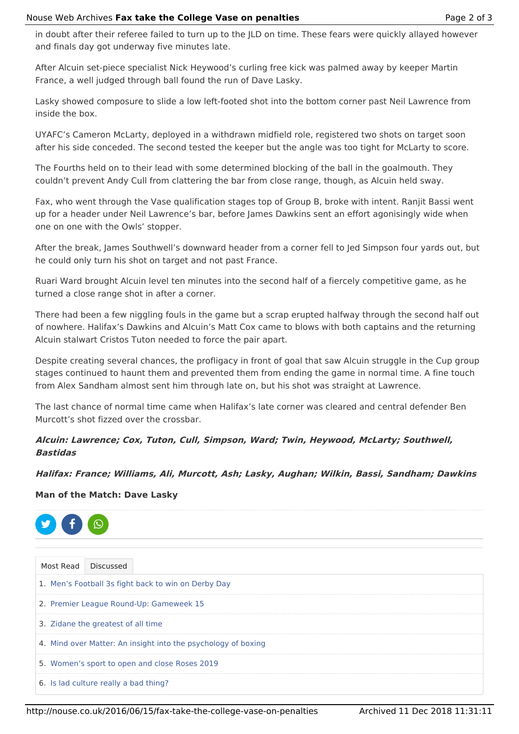in doubt after their referee failed to turn up to the JLD on time. These fears were quickly allayed however and finals day got underway five minutes late.

After Alcuin set-piece specialist Nick Heywood's curling free kick was palmed away by keeper Martin France, a well judged through ball found the run of Dave Lasky.

Lasky showed composure to slide a low left-footed shot into the bottom corner past Neil Lawrence from inside the box.

UYAFC's Cameron McLarty, deployed in a withdrawn midfield role, registered two shots on target soon after his side conceded. The second tested the keeper but the angle was too tight for McLarty to score.

The Fourths held on to their lead with some determined blocking of the ball in the goalmouth. They couldn't prevent Andy Cull from clattering the bar from close range, though, as Alcuin held sway.

Fax, who went through the Vase qualification stages top of Group B, broke with intent. Ranjit Bassi went up for a header under Neil Lawrence's bar, before James Dawkins sent an effort agonisingly wide when one on one with the Owls' stopper.

After the break, James Southwell's downward header from a corner fell to Jed Simpson four yards out, but he could only turn his shot on target and not past France.

Ruari Ward brought Alcuin level ten minutes into the second half of a fiercely competitive game, as he turned a close range shot in after a corner.

There had been a few niggling fouls in the game but a scrap erupted halfway through the second half out of nowhere. Halifax's Dawkins and Alcuin's Matt Cox came to blows with both captains and the returning Alcuin stalwart Cristos Tuton needed to force the pair apart.

Despite creating several chances, the profligacy in front of goal that saw Alcuin struggle in the Cup group stages continued to haunt them and prevented them from ending the game in normal time. A fine touch from Alex Sandham almost sent him through late on, but his shot was straight at Lawrence.

The last chance of normal time came when Halifax's late corner was cleared and central defender Ben Murcott's shot fizzed over the crossbar.

**Alcuin: Lawrence; Cox, Tuton, Cull, Simpson, Ward; Twin, Heywood, McLarty; Southwell, Bastidas**

**Halifax: France; Williams, Ali, Murcott, Ash; Lasky, Aughan; Wilkin, Bassi, Sandham; Dawkins**

### **Man of the Match: Dave Lasky**



| Most Read Discussed                                           |  |  |  |  |  |
|---------------------------------------------------------------|--|--|--|--|--|
| 1. Men's Football 3s fight back to win on Derby Day           |  |  |  |  |  |
| 2. Premier League Round-Up: Gameweek 15                       |  |  |  |  |  |
| 3. Zidane the greatest of all time                            |  |  |  |  |  |
| 4. Mind over Matter: An insight into the psychology of boxing |  |  |  |  |  |
| 5. Women's sport to open and close Roses 2019                 |  |  |  |  |  |
| 6. Is lad culture really a bad thing?                         |  |  |  |  |  |